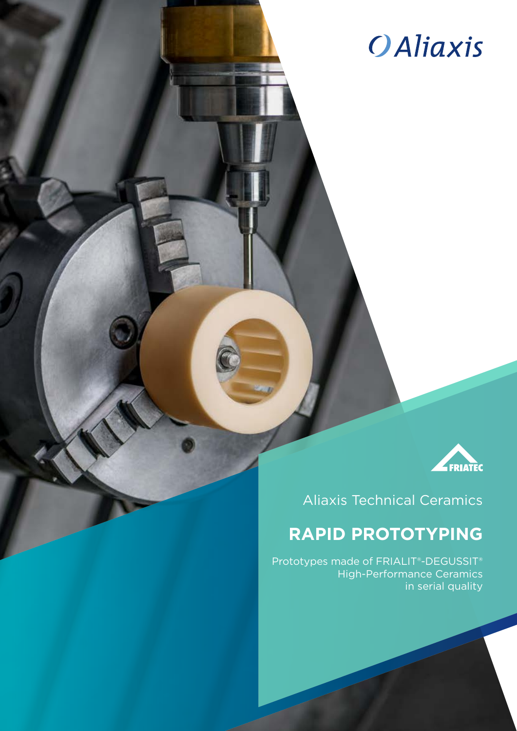# **OAliaxis**



# Aliaxis Technical Ceramics

# **RAPID PROTOTYPING**

Prototypes made of FRIALIT®-DEGUSSIT® High-Performance Ceramics in serial quality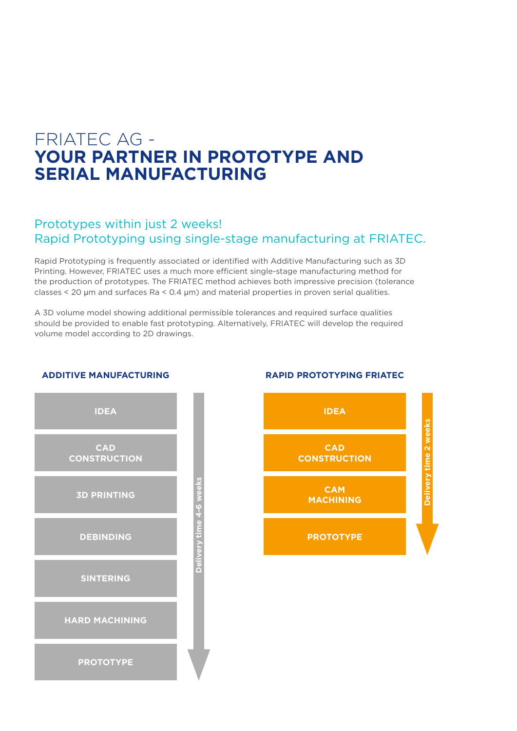# FRIATEC AG - **YOUR PARTNER IN PROTOTYPE AND SERIAL MANUFACTURING**

## Prototypes within just 2 weeks! Rapid Prototyping using single-stage manufacturing at FRIATEC.

Rapid Prototyping is frequently associated or identified with Additive Manufacturing such as 3D Printing. However, FRIATEC uses a much more efficient single-stage manufacturing method for the production of prototypes. The FRIATEC method achieves both impressive precision (tolerance classes < 20 μm and surfaces Ra < 0.4 μm) and material properties in proven serial qualities.

A 3D volume model showing additional permissible tolerances and required surface qualities should be provided to enable fast prototyping. Alternatively, FRIATEC will develop the required volume model according to 2D drawings.



#### **ADDITIVE MANUFACTURING RAPID PROTOTYPING FRIATEC**

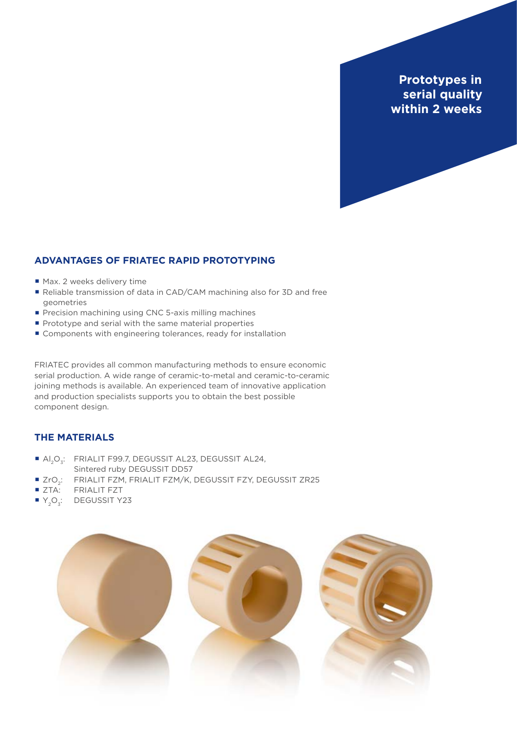**Prototypes in serial quality within 2 weeks**

### **ADVANTAGES OF FRIATEC RAPID PROTOTYPING**

- **·** Max. 2 weeks delivery time
- **·** Reliable transmission of data in CAD/CAM machining also for 3D and free geometries
- **·** Precision machining using CNC 5-axis milling machines
- **·** Prototype and serial with the same material properties
- **·** Components with engineering tolerances, ready for installation

FRIATEC provides all common manufacturing methods to ensure economic serial production. A wide range of ceramic-to-metal and ceramic-to-ceramic joining methods is available. An experienced team of innovative application and production specialists supports you to obtain the best possible component design.

## **THE MATERIALS**

- **·** Al<sub>2</sub>O<sub>3</sub>: FRIALIT F99.7, DEGUSSIT AL23, DEGUSSIT AL24, Sintered ruby DEGUSSIT DD57
- **·** ZrO2: FRIALIT FZM, FRIALIT FZM/K, DEGUSSIT FZY, DEGUSSIT ZR25
- **·** ZTA: FRIALIT FZT
- **·** Y<sub>2</sub>O<sub>2</sub>: DEGUSSIT Y23